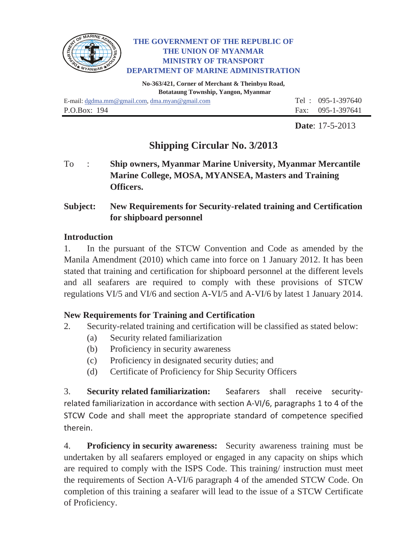

#### **THE GOVERNMENT OF THE REPUBLIC OF THE UNION OF MYANMAR MINISTRY OF TRANSPORT DEPARTMENT OF MARINE ADMINISTRATION**

**No-363/421, Corner of Merchant & Theinbyu Road, Botataung Township, Yangon, Myanmar**

E-mail: dgdma.mm@gmail.com, dma.myan@gmail.com Tel : 095-1-397640 P.O.Box: 194 Fax: 095-1-397641

**Date**: 17-5-2013

# **Shipping Circular No. 3/2013**

To : **Ship owners, Myanmar Marine University, Myanmar Mercantile Marine College, MOSA, MYANSEA, Masters and Training Officers.** 

# **Subject: New Requirements for Security-related training and Certification for shipboard personnel**

## **Introduction**

1. In the pursuant of the STCW Convention and Code as amended by the Manila Amendment (2010) which came into force on 1 January 2012. It has been stated that training and certification for shipboard personnel at the different levels and all seafarers are required to comply with these provisions of STCW regulations VI/5 and VI/6 and section A-VI/5 and A-VI/6 by latest 1 January 2014.

## **New Requirements for Training and Certification**

- 2. Security-related training and certification will be classified as stated below:
	- (a) Security related familiarization
	- (b) Proficiency in security awareness
	- (c) Proficiency in designated security duties; and
	- (d) Certificate of Proficiency for Ship Security Officers

3. **Security related familiarization:** Seafarers shall receive securityrelated familiarization in accordance with section A-VI/6, paragraphs 1 to 4 of the STCW Code and shall meet the appropriate standard of competence specified therein.

4. **Proficiency in security awareness:** Security awareness training must be undertaken by all seafarers employed or engaged in any capacity on ships which are required to comply with the ISPS Code. This training/ instruction must meet the requirements of Section A-VI/6 paragraph 4 of the amended STCW Code. On completion of this training a seafarer will lead to the issue of a STCW Certificate of Proficiency.